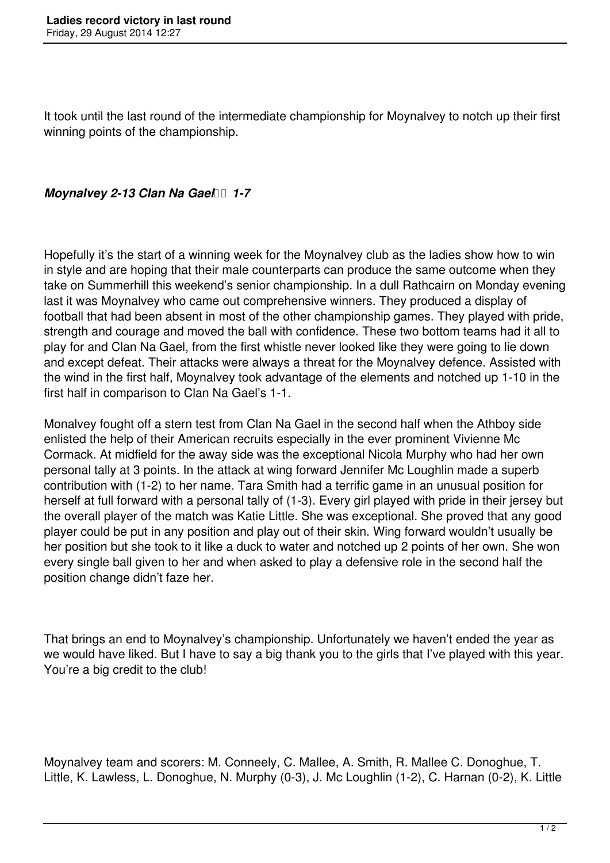It took until the last round of the intermediate championship for Moynalvey to notch up their first winning points of the championship.

## *Moynalvey 2-13 Clan Na Gael 1-7*

Hopefully it's the start of a winning week for the Moynalvey club as the ladies show how to win in style and are hoping that their male counterparts can produce the same outcome when they take on Summerhill this weekend's senior championship. In a dull Rathcairn on Monday evening last it was Moynalvey who came out comprehensive winners. They produced a display of football that had been absent in most of the other championship games. They played with pride, strength and courage and moved the ball with confidence. These two bottom teams had it all to play for and Clan Na Gael, from the first whistle never looked like they were going to lie down and except defeat. Their attacks were always a threat for the Moynalvey defence. Assisted with the wind in the first half, Moynalvey took advantage of the elements and notched up 1-10 in the first half in comparison to Clan Na Gael's 1-1.

Monalvey fought off a stern test from Clan Na Gael in the second half when the Athboy side enlisted the help of their American recruits especially in the ever prominent Vivienne Mc Cormack. At midfield for the away side was the exceptional Nicola Murphy who had her own personal tally at 3 points. In the attack at wing forward Jennifer Mc Loughlin made a superb contribution with (1-2) to her name. Tara Smith had a terrific game in an unusual position for herself at full forward with a personal tally of (1-3). Every girl played with pride in their jersey but the overall player of the match was Katie Little. She was exceptional. She proved that any good player could be put in any position and play out of their skin. Wing forward wouldn't usually be her position but she took to it like a duck to water and notched up 2 points of her own. She won every single ball given to her and when asked to play a defensive role in the second half the position change didn't faze her.

That brings an end to Moynalvey's championship. Unfortunately we haven't ended the year as we would have liked. But I have to say a big thank you to the girls that I've played with this year. You're a big credit to the club!

Moynalvey team and scorers: M. Conneely, C. Mallee, A. Smith, R. Mallee C. Donoghue, T. Little, K. Lawless, L. Donoghue, N. Murphy (0-3), J. Mc Loughlin (1-2), C. Harnan (0-2), K. Little